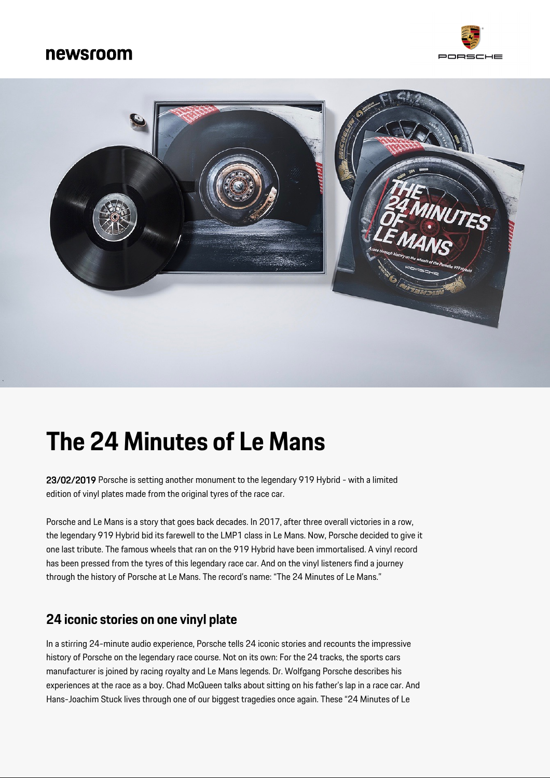## newsroom





# **The 24 Minutes of Le Mans**

23/02/2019 Porsche is setting another monument to the legendary 919 Hybrid - with a limited edition of vinyl plates made from the original tyres of the race car.

Porsche and Le Mans is a story that goes back decades. In 2017, after three overall victories in a row, the legendary 919 Hybrid bid its farewell to the LMP1 class in Le Mans. Now, Porsche decided to give it one last tribute. The famous wheels that ran on the 919 Hybrid have been immortalised. A vinyl record has been pressed from the tyres of this legendary race car. And on the vinyl listeners find a journey through the history of Porsche at Le Mans. The record's name: "The 24 Minutes of Le Mans."

#### **24 iconic stories on one vinyl plate**

In a stirring 24-minute audio experience, Porsche tells 24 iconic stories and recounts the impressive history of Porsche on the legendary race course. Not on its own: For the 24 tracks, the sports cars manufacturer is joined by racing royalty and Le Mans legends. Dr. Wolfgang Porsche describes his experiences at the race as a boy. Chad McQueen talks about sitting on his father's lap in a race car. And Hans-Joachim Stuck lives through one of our biggest tragedies once again. These "24 Minutes of Le